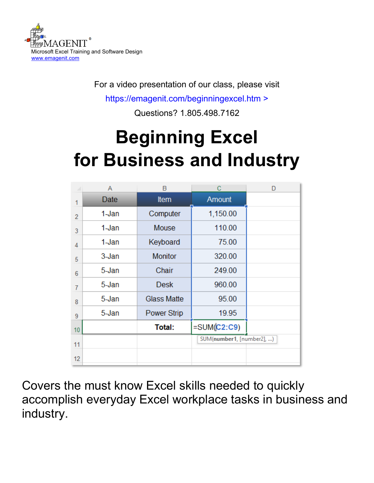

For a video presentation of our class, please visit

<https://emagenit.com/beginningexcel.htm>>

Questions? 1.805.498.7162

# **Beginning Excel for Business and Industry**

|                | Α         | B                  | C                         | D |
|----------------|-----------|--------------------|---------------------------|---|
| 1              | Date      | <b>Item</b>        | <b>Amount</b>             |   |
| $\overline{2}$ | 1-Jan     | Computer           | 1,150.00                  |   |
| 3              | 1-Jan     | <b>Mouse</b>       | 110.00                    |   |
| 4              | 1-Jan     | Keyboard           | 75.00                     |   |
| 5              | $3 - Jan$ | <b>Monitor</b>     | 320.00                    |   |
| 6              | 5-Jan     | Chair              | 249.00                    |   |
| 7              | 5-Jan     | <b>Desk</b>        | 960.00                    |   |
| 8              | 5-Jan     | <b>Glass Matte</b> | 95.00                     |   |
| 9              | 5-Jan     | <b>Power Strip</b> | 19.95                     |   |
| 10             |           | Total:             | $=SUM(C2:C9)$             |   |
| 11             |           |                    | SUM(number1, [number2], ) |   |
| 12             |           |                    |                           |   |

Covers the must know Excel skills needed to quickly accomplish everyday Excel workplace tasks in business and industry.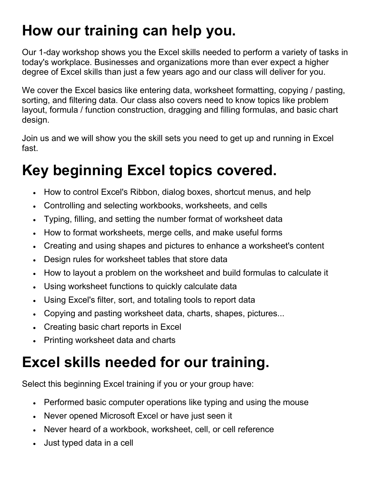# **How our training can help you.**

Our 1-day workshop shows you the Excel skills needed to perform a variety of tasks in today's workplace. Businesses and organizations more than ever expect a higher degree of Excel skills than just a few years ago and our class will deliver for you.

We cover the Excel basics like entering data, worksheet formatting, copying / pasting, sorting, and filtering data. Our class also covers need to know topics like problem layout, formula / function construction, dragging and filling formulas, and basic chart design.

Join us and we will show you the skill sets you need to get up and running in Excel fast.

# **Key beginning Excel topics covered.**

- How to control Excel's Ribbon, dialog boxes, shortcut menus, and help
- Controlling and selecting workbooks, worksheets, and cells
- Typing, filling, and setting the number format of worksheet data
- How to format worksheets, merge cells, and make useful forms
- Creating and using shapes and pictures to enhance a worksheet's content
- Design rules for worksheet tables that store data
- How to layout a problem on the worksheet and build formulas to calculate it
- Using worksheet functions to quickly calculate data
- Using Excel's filter, sort, and totaling tools to report data
- Copying and pasting worksheet data, charts, shapes, pictures...
- Creating basic chart reports in Excel
- Printing worksheet data and charts

# **Excel skills needed for our training.**

Select this beginning Excel training if you or your group have:

- Performed basic computer operations like typing and using the mouse
- Never opened Microsoft Excel or have just seen it
- Never heard of a workbook, worksheet, cell, or cell reference
- Just typed data in a cell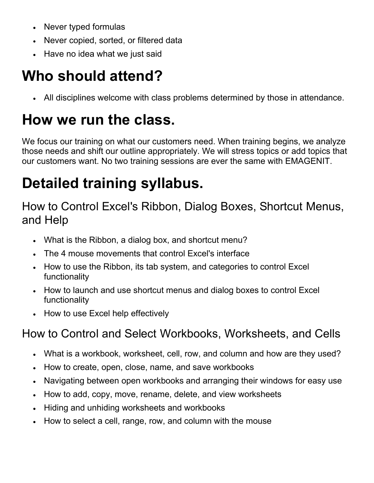- Never typed formulas
- Never copied, sorted, or filtered data
- Have no idea what we just said

# **Who should attend?**

• All disciplines welcome with class problems determined by those in attendance.

# **How we run the class.**

We focus our training on what our customers need. When training begins, we analyze those needs and shift our outline appropriately. We will stress topics or add topics that our customers want. No two training sessions are ever the same with EMAGENIT.

# **Detailed training syllabus.**

### How to Control Excel's Ribbon, Dialog Boxes, Shortcut Menus, and Help

- What is the Ribbon, a dialog box, and shortcut menu?
- The 4 mouse movements that control Excel's interface
- How to use the Ribbon, its tab system, and categories to control Excel functionality
- How to launch and use shortcut menus and dialog boxes to control Excel functionality
- How to use Excel help effectively

# How to Control and Select Workbooks, Worksheets, and Cells

- What is a workbook, worksheet, cell, row, and column and how are they used?
- How to create, open, close, name, and save workbooks
- Navigating between open workbooks and arranging their windows for easy use
- How to add, copy, move, rename, delete, and view worksheets
- Hiding and unhiding worksheets and workbooks
- How to select a cell, range, row, and column with the mouse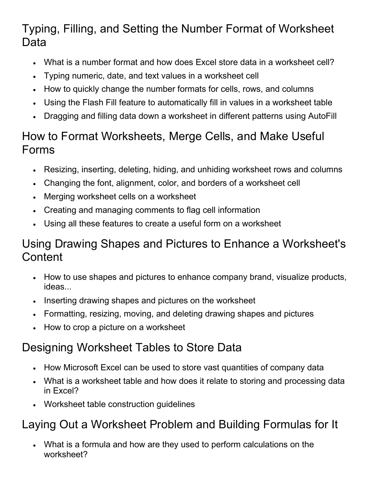### Typing, Filling, and Setting the Number Format of Worksheet Data

- What is a number format and how does Excel store data in a worksheet cell?
- Typing numeric, date, and text values in a worksheet cell
- How to quickly change the number formats for cells, rows, and columns
- Using the Flash Fill feature to automatically fill in values in a worksheet table
- Dragging and filling data down a worksheet in different patterns using AutoFill

#### How to Format Worksheets, Merge Cells, and Make Useful Forms

- Resizing, inserting, deleting, hiding, and unhiding worksheet rows and columns
- Changing the font, alignment, color, and borders of a worksheet cell
- Merging worksheet cells on a worksheet
- Creating and managing comments to flag cell information
- Using all these features to create a useful form on a worksheet

#### Using Drawing Shapes and Pictures to Enhance a Worksheet's **Content**

- How to use shapes and pictures to enhance company brand, visualize products, ideas...
- Inserting drawing shapes and pictures on the worksheet
- Formatting, resizing, moving, and deleting drawing shapes and pictures
- How to crop a picture on a worksheet

### Designing Worksheet Tables to Store Data

- How Microsoft Excel can be used to store vast quantities of company data
- What is a worksheet table and how does it relate to storing and processing data in Excel?
- Worksheet table construction guidelines

### Laying Out a Worksheet Problem and Building Formulas for It

• What is a formula and how are they used to perform calculations on the worksheet?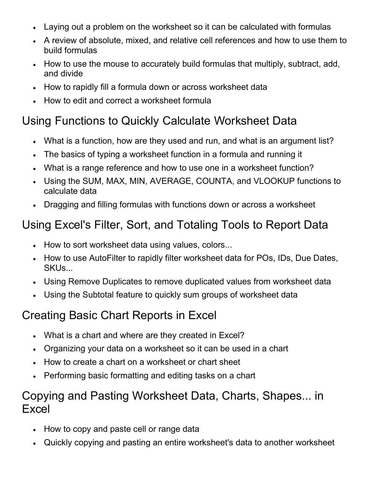- Laying out a problem on the worksheet so it can be calculated with formulas
- A review of absolute, mixed, and relative cell references and how to use them to build formulas
- How to use the mouse to accurately build formulas that multiply, subtract, add, and divide
- How to rapidly fill a formula down or across worksheet data
- How to edit and correct a worksheet formula

### Using Functions to Quickly Calculate Worksheet Data

- What is a function, how are they used and run, and what is an argument list?
- The basics of typing a worksheet function in a formula and running it
- What is a range reference and how to use one in a worksheet function?
- Using the SUM, MAX, MIN, AVERAGE, COUNTA, and VLOOKUP functions to calculate data
- Dragging and filling formulas with functions down or across a worksheet

## Using Excel's Filter, Sort, and Totaling Tools to Report Data

- How to sort worksheet data using values, colors...
- How to use AutoFilter to rapidly filter worksheet data for POs, IDs, Due Dates, SKUs...
- Using Remove Duplicates to remove duplicated values from worksheet data
- Using the Subtotal feature to quickly sum groups of worksheet data

### Creating Basic Chart Reports in Excel

- What is a chart and where are they created in Excel?
- Organizing your data on a worksheet so it can be used in a chart
- How to create a chart on a worksheet or chart sheet
- Performing basic formatting and editing tasks on a chart

#### Copying and Pasting Worksheet Data, Charts, Shapes... in Excel

- How to copy and paste cell or range data
- Quickly copying and pasting an entire worksheet's data to another worksheet